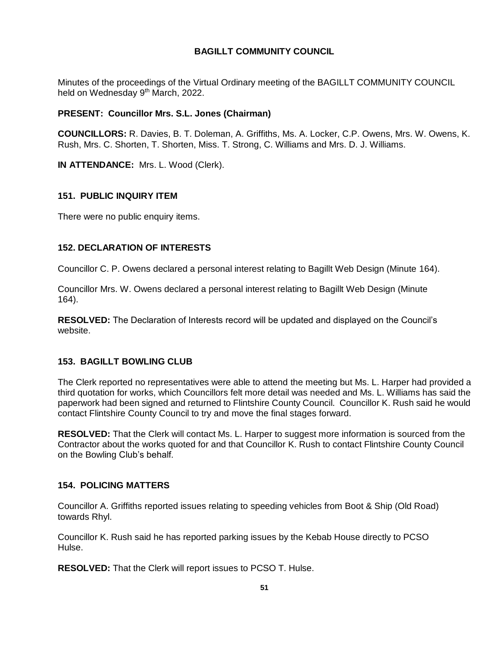# **BAGILLT COMMUNITY COUNCIL**

Minutes of the proceedings of the Virtual Ordinary meeting of the BAGILLT COMMUNITY COUNCIL held on Wednesday 9<sup>th</sup> March, 2022.

## **PRESENT: Councillor Mrs. S.L. Jones (Chairman)**

**COUNCILLORS:** R. Davies, B. T. Doleman, A. Griffiths, Ms. A. Locker, C.P. Owens, Mrs. W. Owens, K. Rush, Mrs. C. Shorten, T. Shorten, Miss. T. Strong, C. Williams and Mrs. D. J. Williams.

**IN ATTENDANCE:** Mrs. L. Wood (Clerk).

## **151. PUBLIC INQUIRY ITEM**

There were no public enquiry items.

## **152. DECLARATION OF INTERESTS**

Councillor C. P. Owens declared a personal interest relating to Bagillt Web Design (Minute 164).

Councillor Mrs. W. Owens declared a personal interest relating to Bagillt Web Design (Minute 164).

**RESOLVED:** The Declaration of Interests record will be updated and displayed on the Council's website.

## **153. BAGILLT BOWLING CLUB**

The Clerk reported no representatives were able to attend the meeting but Ms. L. Harper had provided a third quotation for works, which Councillors felt more detail was needed and Ms. L. Williams has said the paperwork had been signed and returned to Flintshire County Council. Councillor K. Rush said he would contact Flintshire County Council to try and move the final stages forward.

**RESOLVED:** That the Clerk will contact Ms. L. Harper to suggest more information is sourced from the Contractor about the works quoted for and that Councillor K. Rush to contact Flintshire County Council on the Bowling Club's behalf.

## **154. POLICING MATTERS**

Councillor A. Griffiths reported issues relating to speeding vehicles from Boot & Ship (Old Road) towards Rhyl.

Councillor K. Rush said he has reported parking issues by the Kebab House directly to PCSO Hulse.

**RESOLVED:** That the Clerk will report issues to PCSO T. Hulse.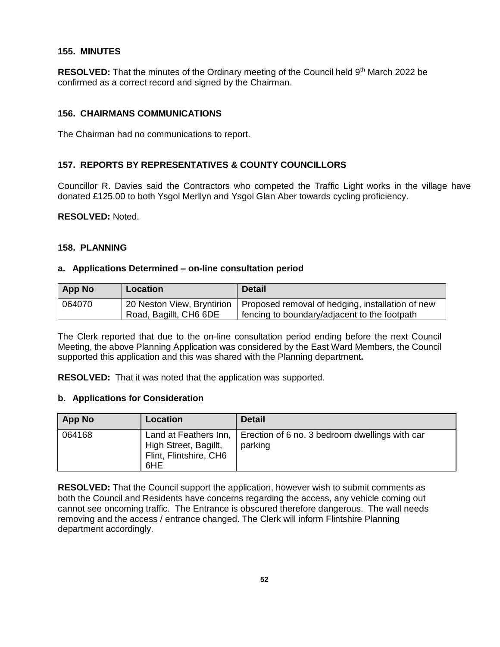#### **155. MINUTES**

**RESOLVED:** That the minutes of the Ordinary meeting of the Council held 9<sup>th</sup> March 2022 be confirmed as a correct record and signed by the Chairman.

### **156. CHAIRMANS COMMUNICATIONS**

The Chairman had no communications to report.

## **157. REPORTS BY REPRESENTATIVES & COUNTY COUNCILLORS**

Councillor R. Davies said the Contractors who competed the Traffic Light works in the village have donated £125.00 to both Ysgol Merllyn and Ysgol Glan Aber towards cycling proficiency.

**RESOLVED:** Noted.

#### **158. PLANNING**

#### **a. Applications Determined – on-line consultation period**

| <b>App No</b> | <b>Location</b>        | <b>Detail</b>                                                                 |
|---------------|------------------------|-------------------------------------------------------------------------------|
| 064070        |                        | 20 Neston View, Bryntirion   Proposed removal of hedging, installation of new |
|               | Road, Bagillt, CH6 6DE | fencing to boundary/adjacent to the footpath                                  |

The Clerk reported that due to the on-line consultation period ending before the next Council Meeting, the above Planning Application was considered by the East Ward Members, the Council supported this application and this was shared with the Planning department**.** 

**RESOLVED:** That it was noted that the application was supported.

#### **b. Applications for Consideration**

| <b>App No</b> | Location                                                                        | <b>Detail</b>                                             |
|---------------|---------------------------------------------------------------------------------|-----------------------------------------------------------|
| 064168        | Land at Feathers Inn,<br>High Street, Bagillt,<br>Flint, Flintshire, CH6<br>6HE | Erection of 6 no. 3 bedroom dwellings with car<br>parking |

**RESOLVED:** That the Council support the application, however wish to submit comments as both the Council and Residents have concerns regarding the access, any vehicle coming out cannot see oncoming traffic. The Entrance is obscured therefore dangerous. The wall needs removing and the access / entrance changed. The Clerk will inform Flintshire Planning department accordingly.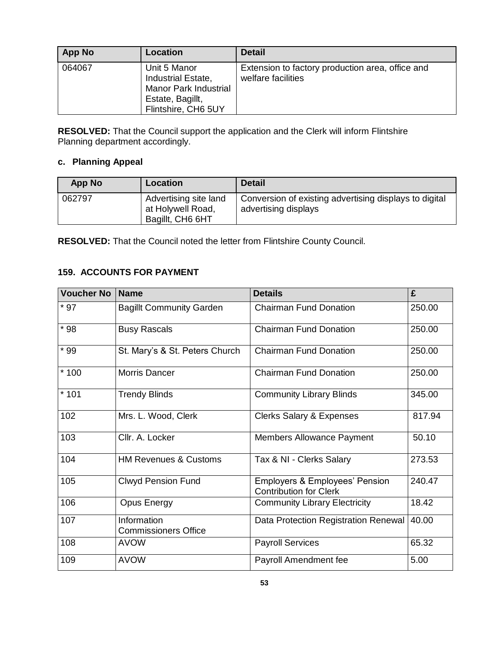| App No | Location                                                                                                      | <b>Detail</b>                                                          |
|--------|---------------------------------------------------------------------------------------------------------------|------------------------------------------------------------------------|
| 064067 | Unit 5 Manor<br>Industrial Estate,<br><b>Manor Park Industrial</b><br>Estate, Bagillt,<br>Flintshire, CH6 5UY | Extension to factory production area, office and<br>welfare facilities |

**RESOLVED:** That the Council support the application and the Clerk will inform Flintshire Planning department accordingly.

# **c. Planning Appeal**

| <b>App No</b> | Location                                                       | <b>Detail</b>                                                                  |
|---------------|----------------------------------------------------------------|--------------------------------------------------------------------------------|
| 062797        | Advertising site land<br>at Holywell Road,<br>Bagillt, CH6 6HT | Conversion of existing advertising displays to digital<br>advertising displays |

**RESOLVED:** That the Council noted the letter from Flintshire County Council.

# **159. ACCOUNTS FOR PAYMENT**

| <b>Voucher No</b> | <b>Name</b>                                | <b>Details</b>                                                             | £      |
|-------------------|--------------------------------------------|----------------------------------------------------------------------------|--------|
| $*97$             | <b>Bagillt Community Garden</b>            | <b>Chairman Fund Donation</b>                                              | 250.00 |
| $*98$             | <b>Busy Rascals</b>                        | <b>Chairman Fund Donation</b>                                              | 250.00 |
| $*99$             | St. Mary's & St. Peters Church             | <b>Chairman Fund Donation</b>                                              | 250.00 |
| $*100$            | Morris Dancer                              | <b>Chairman Fund Donation</b>                                              | 250.00 |
| $*101$            | <b>Trendy Blinds</b>                       | <b>Community Library Blinds</b>                                            | 345.00 |
| 102               | Mrs. L. Wood, Clerk                        | <b>Clerks Salary &amp; Expenses</b>                                        | 817.94 |
| 103               | Cllr. A. Locker                            | <b>Members Allowance Payment</b>                                           | 50.10  |
| 104               | <b>HM Revenues &amp; Customs</b>           | Tax & NI - Clerks Salary                                                   | 273.53 |
| 105               | <b>Clwyd Pension Fund</b>                  | <b>Employers &amp; Employees' Pension</b><br><b>Contribution for Clerk</b> | 240.47 |
| 106               | <b>Opus Energy</b>                         | <b>Community Library Electricity</b>                                       | 18.42  |
| 107               | Information<br><b>Commissioners Office</b> | Data Protection Registration Renewal                                       | 40.00  |
| 108               | <b>AVOW</b>                                | <b>Payroll Services</b>                                                    | 65.32  |
| 109               | <b>AVOW</b>                                | Payroll Amendment fee                                                      | 5.00   |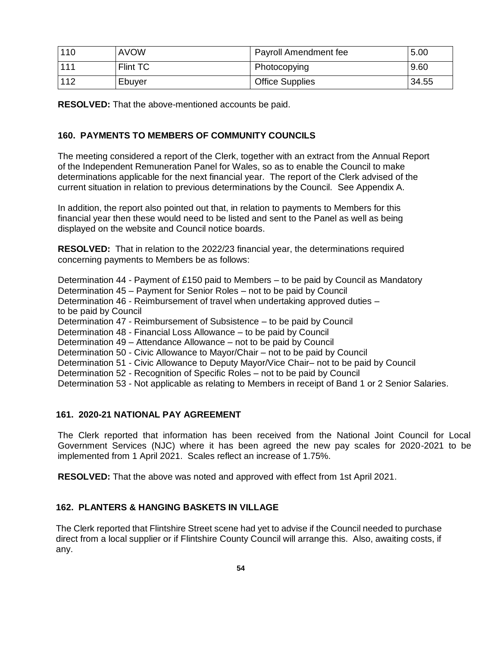| 110 | <b>AVOW</b> | Payroll Amendment fee  | 5.00  |
|-----|-------------|------------------------|-------|
| 111 | Flint TC    | Photocopying           | 9.60  |
| 112 | Ebuyer      | <b>Office Supplies</b> | 34.55 |

**RESOLVED:** That the above-mentioned accounts be paid.

# **160. PAYMENTS TO MEMBERS OF COMMUNITY COUNCILS**

The meeting considered a report of the Clerk, together with an extract from the Annual Report of the Independent Remuneration Panel for Wales, so as to enable the Council to make determinations applicable for the next financial year. The report of the Clerk advised of the current situation in relation to previous determinations by the Council. See Appendix A.

In addition, the report also pointed out that, in relation to payments to Members for this financial year then these would need to be listed and sent to the Panel as well as being displayed on the website and Council notice boards.

**RESOLVED:** That in relation to the 2022/23 financial year, the determinations required concerning payments to Members be as follows:

Determination 44 - Payment of £150 paid to Members – to be paid by Council as Mandatory

Determination 45 – Payment for Senior Roles – not to be paid by Council

Determination 46 - Reimbursement of travel when undertaking approved duties – to be paid by Council

Determination 47 - Reimbursement of Subsistence – to be paid by Council

Determination 48 - Financial Loss Allowance – to be paid by Council

Determination 49 – Attendance Allowance – not to be paid by Council

Determination 50 - Civic Allowance to Mayor/Chair – not to be paid by Council

Determination 51 - Civic Allowance to Deputy Mayor/Vice Chair– not to be paid by Council

Determination 52 - Recognition of Specific Roles – not to be paid by Council

Determination 53 - Not applicable as relating to Members in receipt of Band 1 or 2 Senior Salaries.

## **161. 2020-21 NATIONAL PAY AGREEMENT**

The Clerk reported that information has been received from the National Joint Council for Local Government Services (NJC) where it has been agreed the new pay scales for 2020-2021 to be implemented from 1 April 2021. Scales reflect an increase of 1.75%.

**RESOLVED:** That the above was noted and approved with effect from 1st April 2021.

# **162. PLANTERS & HANGING BASKETS IN VILLAGE**

The Clerk reported that Flintshire Street scene had yet to advise if the Council needed to purchase direct from a local supplier or if Flintshire County Council will arrange this. Also, awaiting costs, if any.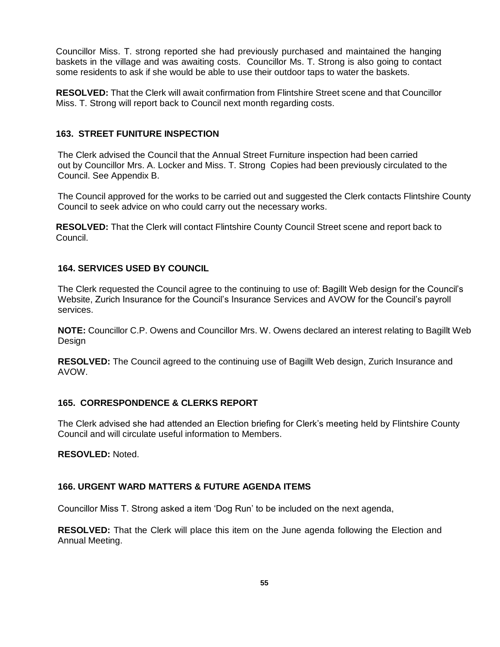Councillor Miss. T. strong reported she had previously purchased and maintained the hanging baskets in the village and was awaiting costs. Councillor Ms. T. Strong is also going to contact some residents to ask if she would be able to use their outdoor taps to water the baskets.

**RESOLVED:** That the Clerk will await confirmation from Flintshire Street scene and that Councillor Miss. T. Strong will report back to Council next month regarding costs.

### **163. STREET FUNITURE INSPECTION**

The Clerk advised the Council that the Annual Street Furniture inspection had been carried out by Councillor Mrs. A. Locker and Miss. T. Strong Copies had been previously circulated to the Council. See Appendix B.

The Council approved for the works to be carried out and suggested the Clerk contacts Flintshire County Council to seek advice on who could carry out the necessary works.

**RESOLVED:** That the Clerk will contact Flintshire County Council Street scene and report back to Council.

### **164. SERVICES USED BY COUNCIL**

The Clerk requested the Council agree to the continuing to use of: Bagillt Web design for the Council's Website, Zurich Insurance for the Council's Insurance Services and AVOW for the Council's payroll services.

**NOTE:** Councillor C.P. Owens and Councillor Mrs. W. Owens declared an interest relating to Bagillt Web Design

**RESOLVED:** The Council agreed to the continuing use of Bagillt Web design, Zurich Insurance and AVOW.

#### **165. CORRESPONDENCE & CLERKS REPORT**

The Clerk advised she had attended an Election briefing for Clerk's meeting held by Flintshire County Council and will circulate useful information to Members.

**RESOVLED:** Noted.

### **166. URGENT WARD MATTERS & FUTURE AGENDA ITEMS**

Councillor Miss T. Strong asked a item 'Dog Run' to be included on the next agenda,

**RESOLVED:** That the Clerk will place this item on the June agenda following the Election and Annual Meeting.